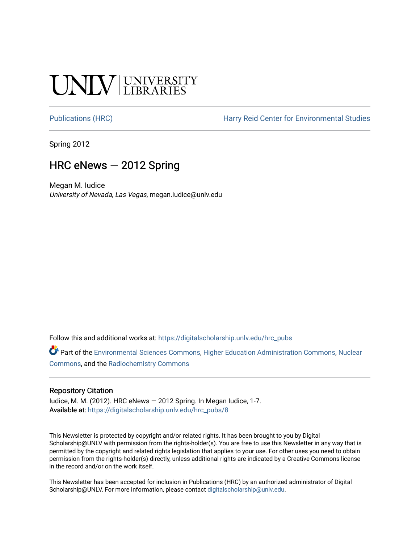# **INIV UNIVERSITY**

[Publications \(HRC\)](https://digitalscholarship.unlv.edu/hrc_pubs) The Harry Reid Center for Environmental Studies

Spring 2012

#### HRC eNews — 2012 Spring

Megan M. Iudice University of Nevada, Las Vegas, megan.iudice@unlv.edu

Follow this and additional works at: [https://digitalscholarship.unlv.edu/hrc\\_pubs](https://digitalscholarship.unlv.edu/hrc_pubs?utm_source=digitalscholarship.unlv.edu%2Fhrc_pubs%2F8&utm_medium=PDF&utm_campaign=PDFCoverPages)

Part of the [Environmental Sciences Commons](http://network.bepress.com/hgg/discipline/167?utm_source=digitalscholarship.unlv.edu%2Fhrc_pubs%2F8&utm_medium=PDF&utm_campaign=PDFCoverPages), [Higher Education Administration Commons](http://network.bepress.com/hgg/discipline/791?utm_source=digitalscholarship.unlv.edu%2Fhrc_pubs%2F8&utm_medium=PDF&utm_campaign=PDFCoverPages), [Nuclear](http://network.bepress.com/hgg/discipline/203?utm_source=digitalscholarship.unlv.edu%2Fhrc_pubs%2F8&utm_medium=PDF&utm_campaign=PDFCoverPages)  [Commons](http://network.bepress.com/hgg/discipline/203?utm_source=digitalscholarship.unlv.edu%2Fhrc_pubs%2F8&utm_medium=PDF&utm_campaign=PDFCoverPages), and the [Radiochemistry Commons](http://network.bepress.com/hgg/discipline/1196?utm_source=digitalscholarship.unlv.edu%2Fhrc_pubs%2F8&utm_medium=PDF&utm_campaign=PDFCoverPages) 

#### Repository Citation

Iudice, M. M. (2012). HRC eNews  $-$  2012 Spring. In Megan Iudice, 1-7. Available at: [https://digitalscholarship.unlv.edu/hrc\\_pubs/8](https://digitalscholarship.unlv.edu/hrc_pubs/8)

This Newsletter is protected by copyright and/or related rights. It has been brought to you by Digital Scholarship@UNLV with permission from the rights-holder(s). You are free to use this Newsletter in any way that is permitted by the copyright and related rights legislation that applies to your use. For other uses you need to obtain permission from the rights-holder(s) directly, unless additional rights are indicated by a Creative Commons license in the record and/or on the work itself.

This Newsletter has been accepted for inclusion in Publications (HRC) by an authorized administrator of Digital Scholarship@UNLV. For more information, please contact [digitalscholarship@unlv.edu.](mailto:digitalscholarship@unlv.edu)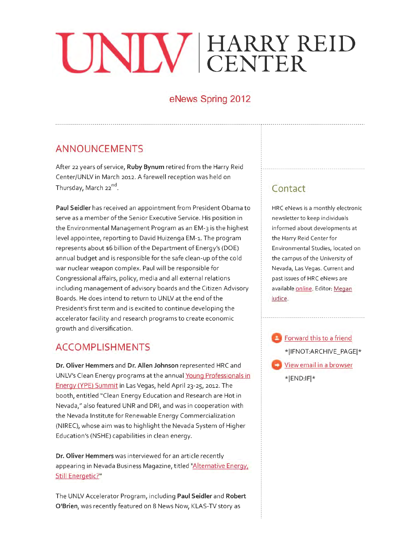# **HARRY CENTER D**

### **eNews Spring 2012**

# **ANNOUNCEMENTS**

After 22 years of service, **Ruby Bynum** retired from the Harry Reid Center/UNLV in March 2012. A farewell reception was held on Thursday, March 22<sup>nd</sup>.

**Paul Seidler** has received an appointment from President Obama to serve as a member of the Senior Executive Service. His position in the Environmental Management Program as an EM-3 is the highest level appointee, reporting to David Huizenga EM-1. The program represents about \$6 billion of the Department of Energy's (DOE) annual budget and is responsible for the safe clean-up ofthe cold war nuclear weapon complex. Paul will be responsible for Congressional affairs, policy, media and all external relations including management of advisory boards and the Citizen Advisory Boards. He does intend to return to UNLV at the end ofthe President's first term and is excited to continue developing the accelerator facility and research programs to create economic growth and diversification.

#### **ACCOMPLISHMENTS**

**Dr. Oliver Hemmers** and **Dr. Allen Johnson** represented HRC and UNLV's Clean Energy programs at the annual Young Professionals in Energy (YPE) Summit in Las Vegas, held April 23-25, 2012. The booth, entitled "Clean Energy Education and Research are Hot in Nevada," also featured UNR and DRI, and was in cooperation with the Nevada Institute for Renewable Energy Commercialization (NIREC), whose aim was to highlight the Nevada System of Higher Education's (NSHE) capabilities in clean energy.

**Dr. Oliver Hemmers** was interviewed for an article recently appearing in Nevada Business Magazine, titled "Alternative Energy, Still Energetic?"

The UNLV Accelerator Program, including **Paul Seidler** and **Robert O'Brien,** was recently featured on 8 News Now, KLAS-TV story as

# **Contact**

HRC eNews is a monthly electronic newsletter to keep individuals informed about developments at the Harry Reid Center for Environmental Studies, located on the campus of the University of Nevada, Las Vegas. Current and past issues of HRC eNews are available online. Editor: Megan ludice.

Forward this to a friend \*IIFNOT:ARCHIVE\_PAGEI\* View email in a browser \*IEND:IFI\*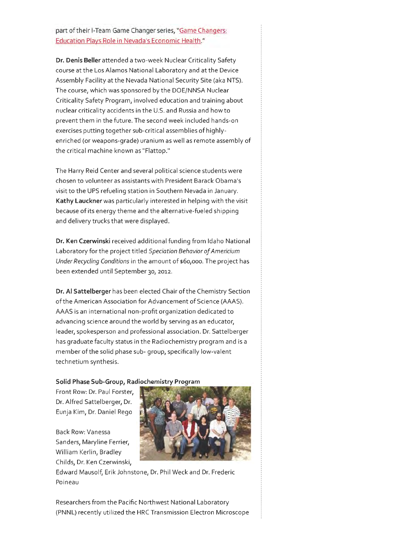part of their I-Team Game Changer series, "Game Changers: Education Plays Role in Nevada's Economic Health."

**Dr. Denis Beller** attended a two-week Nuclear Criticality Safety course at the Los Alamos National Laboratory and at the Device Assembly Facility at the Nevada National Security Site (aka NTS). The course, which was sponsored by the DOE/NNSA Nuclear Criticality Safety Program, involved education and training about nuclear criticality accidents in the U.S. and Russia and how to prevent them in the future. The second week included hands-on exercises putting together sub-critical assemblies of highlyenriched (or weapons-grade) uranium as well as remote assembly of the critical machine known as "Flattop."

The Harry Reid Center and several political science students were chosen to volunteer as assistants with President Barack Obama's visit to the UPS refueling station in Southern Nevada in January. **Kathy Lauckner** was particularly interested in helping with the visit because of its energy theme and the alternative-fueled shipping and delivery trucks that were displayed.

**Dr. Ken Czerwinski** received additional funding from Idaho National Laboratory for the project titled *Speciation Behavior of Americium Under Recycling Conditions* in the amount of \$6o,ooo. The project has been extended until September 30, 2012.

**Dr. AI Sattelberger** has been elected Chair of the Chemistry Section of the American Association for Advancement of Science (AAAS). AAAS is an international non-profit organization dedicated to advancing science around the world by serving as an educator, leader, spokesperson and professional association. Dr. Sattelberger has graduate faculty status in the Radiochemistry program and is a member of the solid phase sub- group, specifically low-valent technetium synthesis.

#### **Solid Phase Sub-Group, Radiochemistry Program**

Front Row: Dr. Paul Forster, Dr. Alfred Sattelberger, Dr. Eunja Kim, Dr. Daniel Rego

Back Row: Vanessa Sanders, Maryline Ferrier, William Kerlin, Bradley Childs, Dr. Ken Czerwinski,



Edward Mausolf, Erik Johnstone, Dr. Phil Week and Dr. Frederic Poineau

Researchers from the Pacific Northwest National Laboratory (PNNL) recently utilized the HRC Transmission Electron Microscope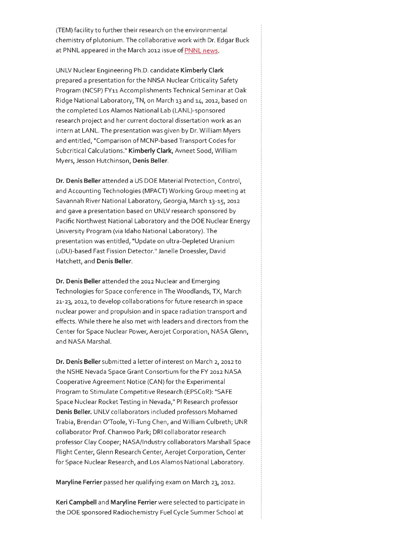(TEM) facility to further their research on the environmental chemistry of plutonium. The collaborative work with Dr. Edgar Buck at PNNL appeared in the March 2012 issue of PNNL news.

UNLV Nuclear Engineering Ph.D. candidate **Kimberly Clark**  prepared a presentation for the NNSA Nuclear Criticality Safety Program (NCSP) FY11 Accomplishments Technical Seminar at Oak Ridge National Laboratory, TN, on March 13 and 14, 2012, based on the completed Los Alamos National Lab (LANL)-sponsored research project and her current doctoral dissertation work as an intern at LANL. The presentation was given by Dr. William Myers and entitled, "Comparison of MCNP-based Transport Codes for Subcritical Calculations." **Kimberly Clark,** Avneet Sood, William Myers, Jesson Hutchinson, **Denis Beller.** 

**Dr. Denis Beller** attended a US DOE Material Protection, Control, and Accounting Technologies (MPACT) Working Group meeting at Savannah River National Laboratory, Georgia, March 13-15, 2012 and gave a presentation based on UNLV research sponsored by Pacific Northwest National Laboratory and the DOE Nuclear Energy University Program (via Idaho National Laboratory). The presentation was entitled, "Update on ultra-Depleted Uranium (uDU)-based Fast Fission Detector." Janelle Droessler, David Hatchett, and **Denis Beller.** 

**Dr. Denis Beller** attended the 2012 Nuclear and Emerging Technologies for Space conference in The Woodlands, TX, March 21-23, 2012, to develop collaborations for future research in space nuclear power and propulsion and in space radiation transport and effects. While there he also met with leaders and directors from the Center for Space Nuclear Power, Aerojet Corporation, NASA Glenn, and NASA Marshal.

**Dr. Denis Beller** submitted a letter of interest on March 2, 2012 to the NSHE Nevada Space Grant Consortium for the FY 2012 NASA Cooperative Agreement Notice (CAN) for the Experimental Program to Stimulate Competitive Research (EPSCoR): "SAFE Space Nuclear Rocket Testing in Nevada," PI Research professor **Denis Beller.** UNLV collaborators included professors Mohamed Trabia, Brendan O'Toole, Yi-Tung Chen, and William Culbreth; UNR collaborator Prof. Chanwoo Park; DRI collaborator research professor Clay Cooper; NASA/Industry collaborators Marshall Space Flight Center, Glenn Research Center, Aerojet Corporation, Center for Space Nuclear Research, and Los Alamos National Laboratory.

**Maryline Ferrier** passed her qualifying exam on March 23, 2012.

**Keri Campbell** and **Maryline Ferrier** were selected to participate in the DOE sponsored Radiochemistry Fuel Cycle Summer School at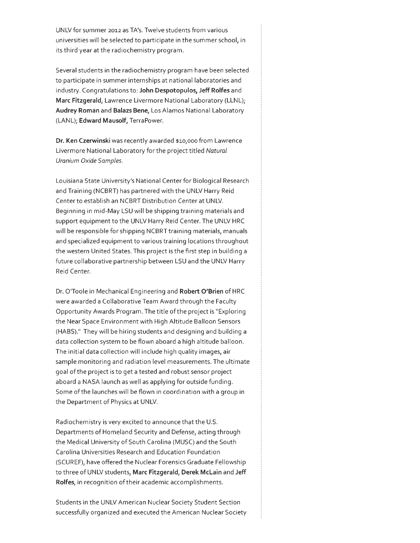UNLV for summer 2012 as TA's. Twelve students from various universities will be selected to participate in the summer school, in its third year at the radiochemistry program.

Several students in the radiochemistry program have been selected to participate in summer internships at national laboratories and industry. Congratulations to: **John Despotopulos, Jeff Rolfes** and **Marc Fitzgerald,** Lawrence Livermore National Laboratory (LLNL); **Audrey Roman** and **Balazs Bene,** Los Alamos National Laboratory (LANL); **Edward Mausolf,** TerraPower.

**Dr. Ken Czerwinski** was recently awarded \$1o,ooo from Lawrence Livermore National Laboratory for the project titled Natural Uranium Oxide Samples.

Louisiana State University's National Center for Biological Research and Training (NCBRT) has partnered with the UNLV Harry Reid Center to establish an NCBRT Distribution Center at UNLV. Beginning in mid-May LSU will be shipping training materials and support equipment to the UNLV Harry Reid Center. The UNLV HRC will be responsible for shipping NCBRT training materials, manuals and specialized equipment to various training locations throughout the western United States. This project is the first step in building a future collaborative partnership between LSU and the UNLV Harry Reid Center.

Dr. O'Toole in Mechanical Engineering and **Robert O'Brien** of HRC were awarded a Collaborative Team Award through the Faculty Opportunity Awards Program . The title ofthe project is "Exploring the Near Space Environment with High Altitude Balloon Sensors (HABS)." They will be hiring students and designing and building a data collection system to be flown aboard a high altitude balloon. The initial data collection will include high quality images, air sample monitoring and radiation level measurements. The ultimate goal of the project is to get a tested and robust sensor project aboard a NASA launch as well as applying for outside funding. Some ofthe launches will be flown in coordination with a group in the Department of Physics at UNLV.

Radiochemistry is very excited to announce that the U.S. Departments of Homeland Security and Defense, acting through the Medical University of South Carolina (MUSC) and the South Carolina Universities Research and Education Foundation (SCUREF), have offered the Nuclear Forensics Graduate Fellowship to three of UNLV students, **Marc Fitzgerald, Derek Mclain** and **Jeff Rolfes,** in recognition oftheir academic accomplishments.

Students in the UNLV American Nuclear Society Student Section successfully organized and executed the American Nuclear Society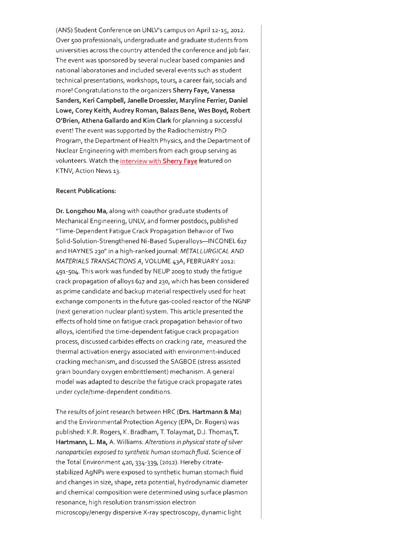(ANS) Student Conference on UNLV's campus on April 12-15, 2012. Over soo professionals, undergraduate and graduate students from universities across the country attended the conference and job fair. The event was sponsored by several nuclear based companies and national laboratories and included several events such as student technical presentations, workshops, tours, a career fair, socials and more! Congratulations to the organizers **Sherry Faye, Vanessa Sanders, Keri Campbell, Janelle Droessler, Maryline Ferrier, Daniel Lowe, Corey Keith, Audrey Roman, Balazs Bene, Wes Boyd, Robert O'Brien, Athena Gallardo and Kim Clark** for planning a successful event! The event was supported by the Radiochemistry PhD Program, the Department of Health Physics, and the Department of Nuclear Engineering with members from each group serving as volunteers. Watch the interview with **Sherry Faye** featured on KTNV, Action News 13.

#### **Recent Publications:**

**Dr. Longzhou Ma,** along with coauthor graduate students of Mechanical Engineering, UNLV, and former postdocs, published "Time-Dependent Fatigue Crack Propagation Behavior of Two Solid-Solution-Strengthened Ni-Based Superalloys-INCONEL 617 and HAYNES 230" in a high-ranked journal: METALLURGICAL AND MATERIALS TRANSACTIONS A, VOLUME 43A, FEBRUARY 2012: 491-504. This work was funded by NEUP 2009 to study the fatigue crack propagation of alloys 617 and 230, which has been considered as prime candidate and backup material respectively used for heat exchange components in the future gas-cooled reactor of the NGNP (next generation nuclear plant) system. This article presented the effects of hold time on fatigue crack propagation behavior oftwo alloys, identified the time-dependent fatigue crack propagation process, discussed carbides effects on cracking rate, measured the thermal activation energy associated with environment-induced cracking mechanism, and discussed the SAGBOE (stress assisted grain boundary oxygen embrittlement) mechanism. A general model was adapted to describe the fatigue crack propagate rates under cycle/time-dependent conditions.

The results of joint research between HRC **(Drs. Hartmann & Ma)**  and the Environmental Protection Agency (EPA, Dr. Rogers) was published: K.R. Rogers, K. Bradham, T. Tolaymat, D.J. Thomas,T. **Hartmann, L. Ma,** A. Williams: *Alterations in physical state of silver nanopartic/es exposed to synthetic human stomach fluid.* Science of the Total Environment 420, 334-339, (2o12). Hereby citratestabilized AgNPs were exposed to synthetic human stomach fluid and changes in size, shape, zeta potential, hydrodynamic diameter and chemical composition were determined using surface plasmon resonance, high resolution transmission electron microscopy/energy dispersive X-ray spectroscopy, dynamic light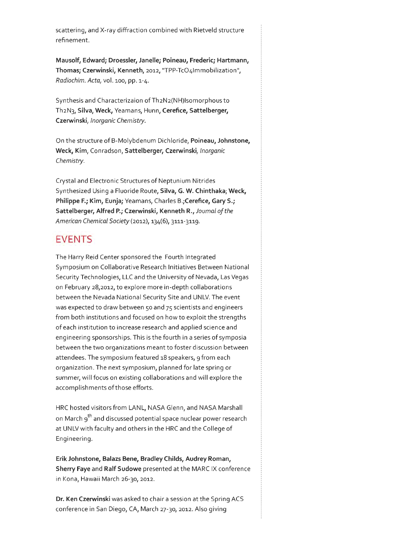scattering, and X-ray diffraction combined with Rietveld structure refinement.

**Mausolf, Edward; Droessler, Janelle; Poineau, Frederic; Hartmann,**  Thomas; Czerwinski, Kenneth, 2012, "TPP-TcO4Immobilization", *Radiochim. Acta,* vol. 100, pp. 1-4.

Synthesis and Characterizaion of Th2N2(NH)Isomorphous to Th2N3, **Silva, Week,** Yeamans, Hunn, **Cerefiee, Sattelberger, Czerwinski,** *Inorganic Chemistry.* 

On the structure of B-Molybdenum Dichloride, **Poineau, Johnstone, Week, Kim,** Conradson, **Sattelberger, Czerwinski,** *Inorganic Chemistry.* 

Crystal and Electronic Structures of Neptunium Nitrides Synthesized Using a Fluoride Route, **Silva, G. W. Chinthaka; Week, Philippe F.; Kim, Eunja;** Yeamans, Charles **B.;Cerefiee, Gary S.; Sattelberger, Alfred P.; Czerwinski, Kenneth R.,** *Journal of the American Chemical Society* (2012), 134(6), 3111-3119.

#### **EVENTS**

The Harry Reid Center sponsored the Fourth Integrated Symposium on Collaborative Research Initiatives Between National Security Technologies, LLC and the University of Nevada, Las Vegas on February 28,2012, to explore more in-depth collaborations between the Nevada National Security Site and UNLV. The event was expected to draw between 50 and 75 scientists and engineers from both institutions and focused on how to exploit the strengths of each institution to increase research and applied science and engineering sponsorships. This is the fourth in a series of symposia between the two organizations meant to foster discussion between attendees. The symposium featured 18 speakers, 9 from each organization. The next symposium, planned for late spring or summer, will focus on existing collaborations and will explore the accomplishments of those efforts.

HRC hosted visitors from LANL, NASA Glenn, and NASA Marshall on March 9<sup>th</sup> and discussed potential space nuclear power research at UNLV with faculty and others in the HRC and the College of Engineering.

**Erik Johnstone, Balazs Bene, Bradley Childs, Audrey Roman, Sherry Faye** and **Ralf Sudowe** presented at the MARC IX conference in Kona, Hawaii March 26-30, 2012.

**Dr. Ken Czerwinski** was asked to chair a session at the Spring ACS conference in San Diego, CA, March 27-30, 2012. Also giving